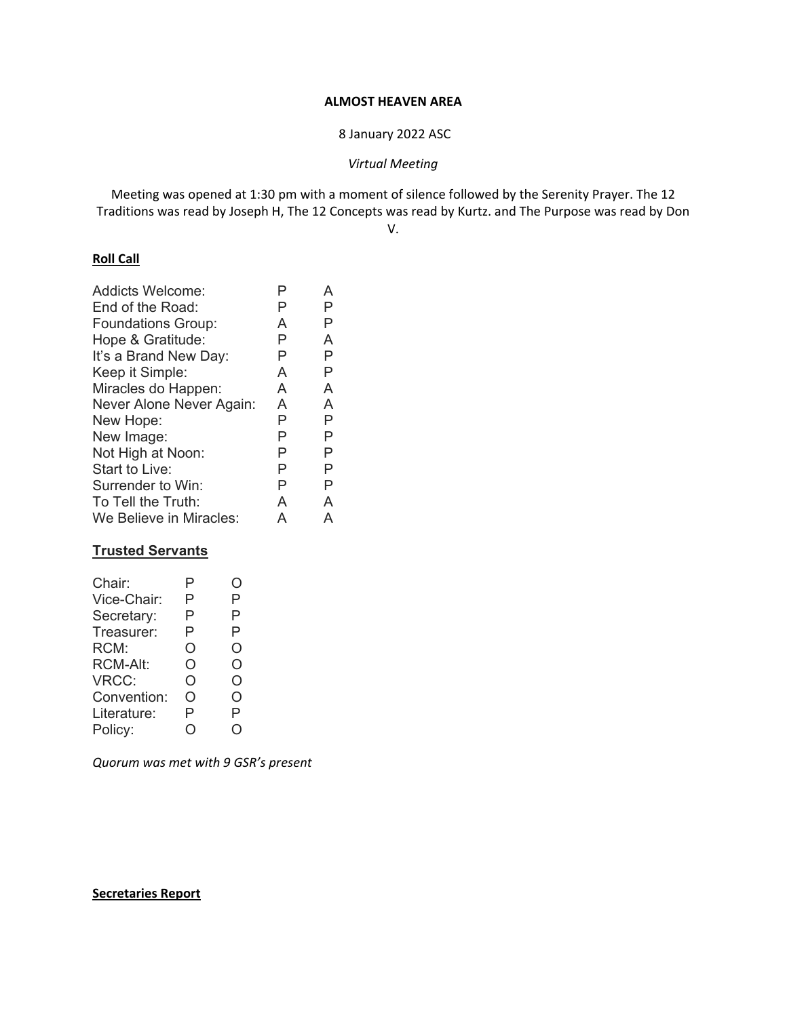# **ALMOST HEAVEN AREA**

8 January 2022 ASC

*Virtual Meeting* 

Meeting was opened at 1:30 pm with a moment of silence followed by the Serenity Prayer. The 12 Traditions was read by Joseph H, The 12 Concepts was read by Kurtz. and The Purpose was read by Don

V.

# **Roll Call**

| P | P |
|---|---|
| A | Р |
| P | A |
| Ρ | Р |
| A | Р |
| A | A |
| A | A |
| Ρ | Р |
| P | Р |
| P | Р |
| P | Р |
| P | Р |
| A | A |
| А | А |
|   |   |

# **Trusted Servants**

| Chair:          | Р | . ) |
|-----------------|---|-----|
| Vice-Chair:     | Р | Ρ   |
| Secretary:      | Р | P   |
| Treasurer:      | Р | P   |
| RCM:            | Ο | O   |
| <b>RCM-Alt:</b> | O | O   |
| VRCC:           | O | O   |
| Convention:     | റ | Ω   |
| Literature:     | Р | P   |
| Policy:         |   |     |
|                 |   |     |

*Quorum was met with 9 GSR's present* 

## **Secretaries Report**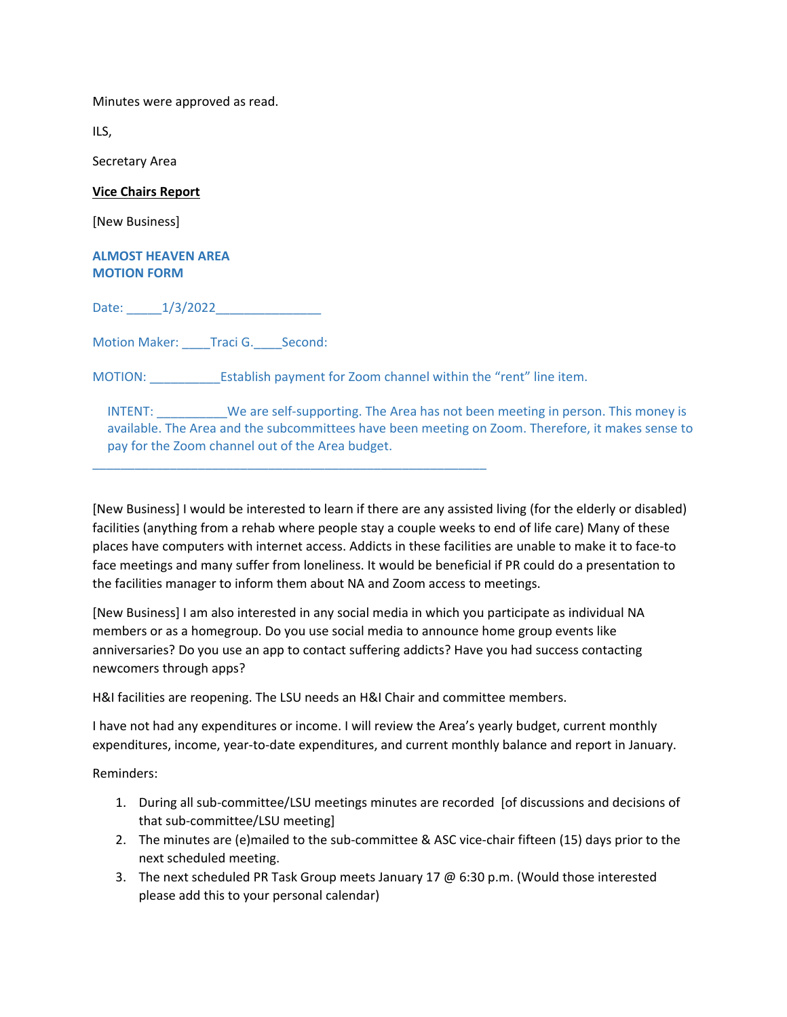Minutes were approved as read.

ILS,

Secretary Area

#### **Vice Chairs Report**

[New Business]

### **ALMOST HEAVEN AREA MOTION FORM**

Date: 1/3/2022

Motion Maker: \_\_\_\_Traci G. \_\_\_\_ Second:

MOTION: Establish payment for Zoom channel within the "rent" line item.

\_\_\_\_\_\_\_\_\_\_\_\_\_\_\_\_\_\_\_\_\_\_\_\_\_\_\_\_\_\_\_\_\_\_\_\_\_\_\_\_\_\_\_\_\_\_\_\_\_\_\_\_\_\_\_\_

INTENT: We are self-supporting. The Area has not been meeting in person. This money is available. The Area and the subcommittees have been meeting on Zoom. Therefore, it makes sense to pay for the Zoom channel out of the Area budget.

[New Business] I would be interested to learn if there are any assisted living (for the elderly or disabled) facilities (anything from a rehab where people stay a couple weeks to end of life care) Many of these places have computers with internet access. Addicts in these facilities are unable to make it to face‐to face meetings and many suffer from loneliness. It would be beneficial if PR could do a presentation to the facilities manager to inform them about NA and Zoom access to meetings.

[New Business] I am also interested in any social media in which you participate as individual NA members or as a homegroup. Do you use social media to announce home group events like anniversaries? Do you use an app to contact suffering addicts? Have you had success contacting newcomers through apps?

H&I facilities are reopening. The LSU needs an H&I Chair and committee members.

I have not had any expenditures or income. I will review the Area's yearly budget, current monthly expenditures, income, year-to-date expenditures, and current monthly balance and report in January.

Reminders:

- 1. During all sub‐committee/LSU meetings minutes are recorded [of discussions and decisions of that sub‐committee/LSU meeting]
- 2. The minutes are (e)mailed to the sub‐committee & ASC vice‐chair fifteen (15) days prior to the next scheduled meeting.
- 3. The next scheduled PR Task Group meets January 17  $\varpi$  6:30 p.m. (Would those interested please add this to your personal calendar)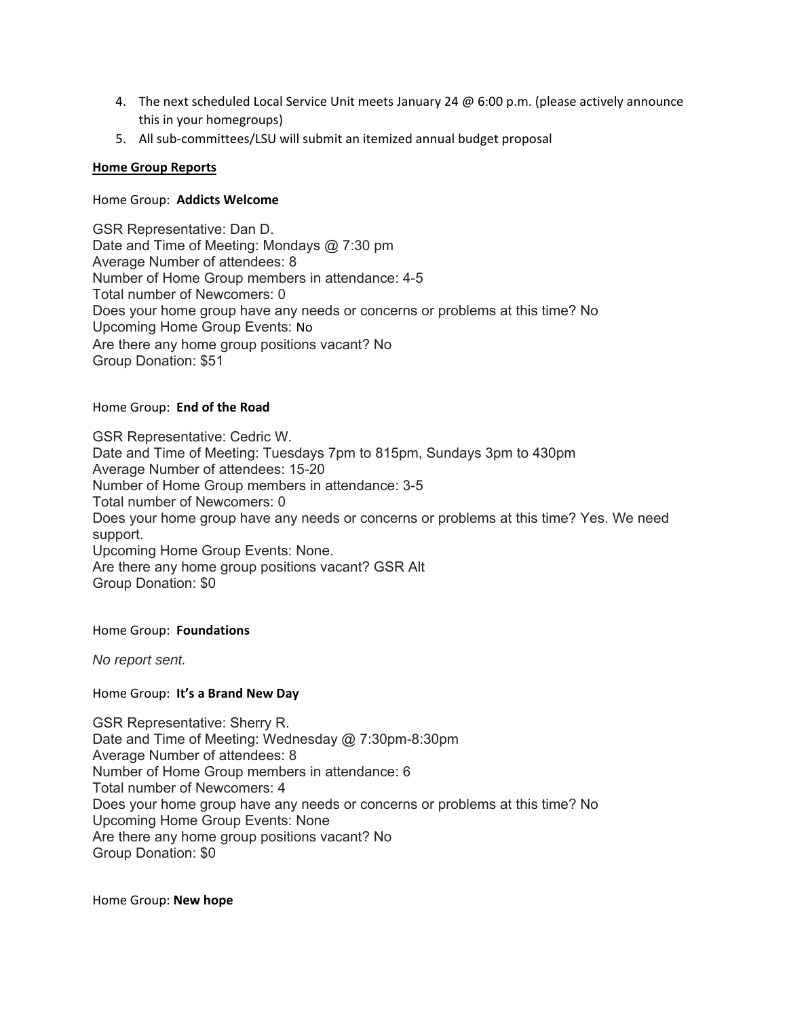- 4. The next scheduled Local Service Unit meets January 24 @ 6:00 p.m. (please actively announce this in your homegroups)
- 5. All sub-committees/LSU will submit an itemized annual budget proposal

## **Home Group Reports**

## Home Group: **Addicts Welcome**

GSR Representative: Dan D. Date and Time of Meeting: Mondays @ 7:30 pm Average Number of attendees: 8 Number of Home Group members in attendance: 4-5 Total number of Newcomers: 0 Does your home group have any needs or concerns or problems at this time? No Upcoming Home Group Events: No Are there any home group positions vacant? No Group Donation: \$51

### Home Group: **End of the Road**

GSR Representative: Cedric W. Date and Time of Meeting: Tuesdays 7pm to 815pm, Sundays 3pm to 430pm Average Number of attendees: 15-20 Number of Home Group members in attendance: 3-5 Total number of Newcomers: 0 Does your home group have any needs or concerns or problems at this time? Yes. We need support. Upcoming Home Group Events: None. Are there any home group positions vacant? GSR Alt Group Donation: \$0

Home Group: **Foundations**

*No report sent.* 

## Home Group: **It's a Brand New Day**

GSR Representative: Sherry R. Date and Time of Meeting: Wednesday @ 7:30pm-8:30pm Average Number of attendees: 8 Number of Home Group members in attendance: 6 Total number of Newcomers: 4 Does your home group have any needs or concerns or problems at this time? No Upcoming Home Group Events: None Are there any home group positions vacant? No Group Donation: \$0

Home Group: **New hope**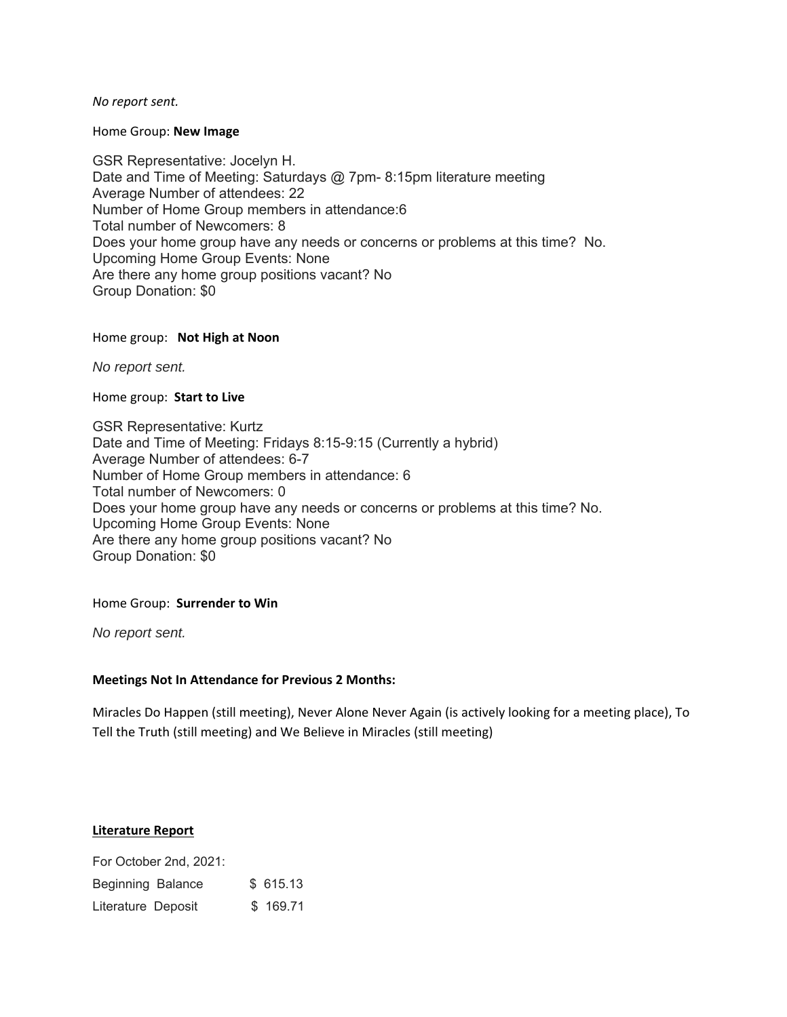*No report sent.* 

Home Group: **New Image** 

GSR Representative: Jocelyn H. Date and Time of Meeting: Saturdays @ 7pm-8:15pm literature meeting Average Number of attendees: 22 Number of Home Group members in attendance:6 Total number of Newcomers: 8 Does your home group have any needs or concerns or problems at this time? No. Upcoming Home Group Events: None Are there any home group positions vacant? No Group Donation: \$0

### Home group: **Not High at Noon**

*No report sent.*

#### Home group: **Start to Live**

GSR Representative: Kurtz Date and Time of Meeting: Fridays 8:15-9:15 (Currently a hybrid) Average Number of attendees: 6-7 Number of Home Group members in attendance: 6 Total number of Newcomers: 0 Does your home group have any needs or concerns or problems at this time? No. Upcoming Home Group Events: None Are there any home group positions vacant? No Group Donation: \$0

## Home Group: **Surrender to Win**

*No report sent.* 

## **Meetings Not In Attendance for Previous 2 Months:**

Miracles Do Happen (still meeting), Never Alone Never Again (is actively looking for a meeting place), To Tell the Truth (still meeting) and We Believe in Miracles (still meeting)

## **Literature Report**

For October 2nd, 2021: Beginning Balance \$ 615.13 Literature Deposit \$ 169.71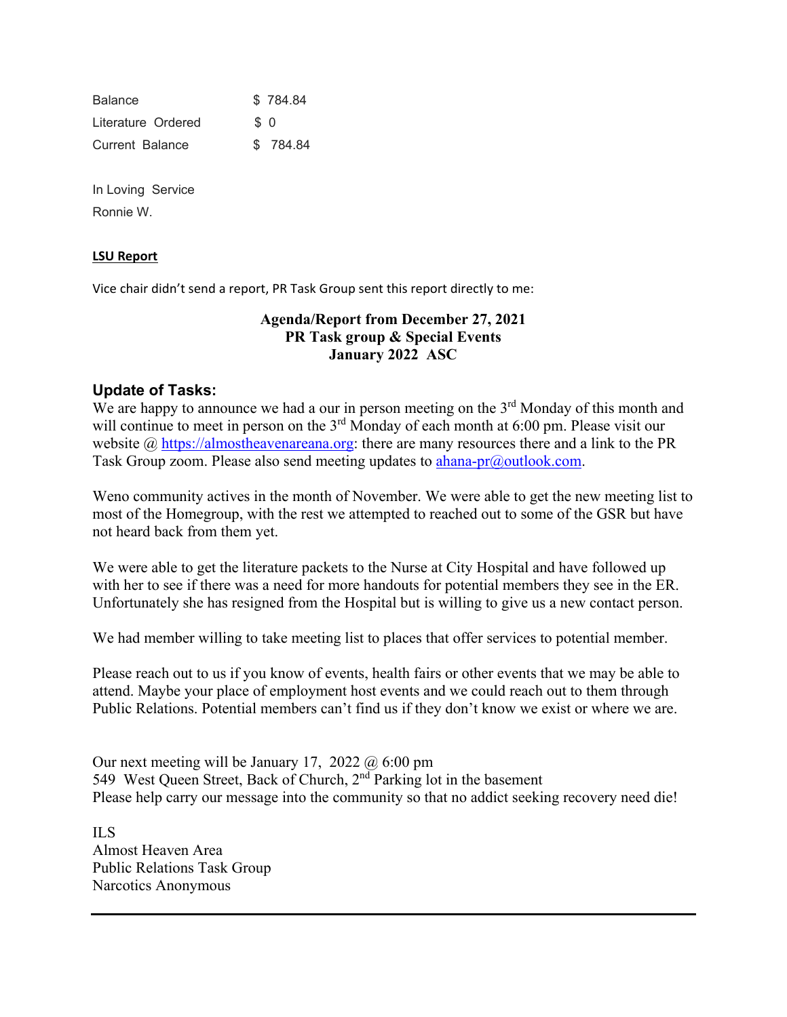**Balance** \$ 784.84 Literature Ordered \$ 0 Current Balance \$ 784.84

In Loving Service Ronnie W.

# **LSU Report**

Vice chair didn't send a report, PR Task Group sent this report directly to me:

# **Agenda/Report from December 27, 2021 PR Task group & Special Events January 2022 ASC**

# **Update of Tasks:**

We are happy to announce we had a our in person meeting on the 3<sup>rd</sup> Monday of this month and will continue to meet in person on the 3<sup>rd</sup> Monday of each month at 6:00 pm. Please visit our website  $\omega$  https://almostheavenareana.org: there are many resources there and a link to the PR Task Group zoom. Please also send meeting updates to **ahana-pr**@outlook.com.

Weno community actives in the month of November. We were able to get the new meeting list to most of the Homegroup, with the rest we attempted to reached out to some of the GSR but have not heard back from them yet.

We were able to get the literature packets to the Nurse at City Hospital and have followed up with her to see if there was a need for more handouts for potential members they see in the ER. Unfortunately she has resigned from the Hospital but is willing to give us a new contact person.

We had member willing to take meeting list to places that offer services to potential member.

Please reach out to us if you know of events, health fairs or other events that we may be able to attend. Maybe your place of employment host events and we could reach out to them through Public Relations. Potential members can't find us if they don't know we exist or where we are.

Our next meeting will be January 17, 2022 @ 6:00 pm 549 West Queen Street, Back of Church, 2<sup>nd</sup> Parking lot in the basement Please help carry our message into the community so that no addict seeking recovery need die!

ILS Almost Heaven Area Public Relations Task Group Narcotics Anonymous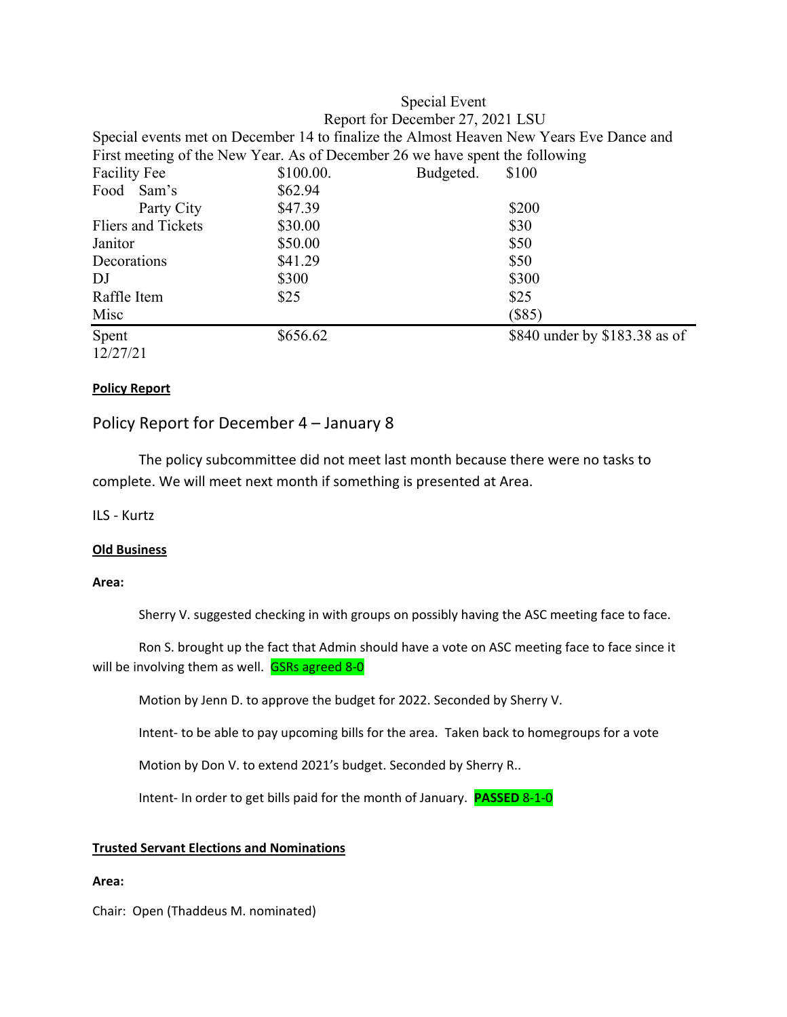# Special Event Report for December 27, 2021 LSU Special events met on December 14 to finalize the Almost Heaven New Years Eve Dance and First meeting of the New Year. As of December 26 we have spent the following Facility Fee  $$100.00$ . Budgeted. \$100 Food Sam's \$62.94 Party City \$47.39 \$200 Fliers and Tickets  $$30.00$  \$30 Janitor \$50.00 \$50  $Decorations$   $$41.29$   $$50$ DJ \$300 \$300 \$300 Raffle Item  $$25$  \$25  $Misc$  (\$85) Spent \$656.62 \$840 under by \$183.38 as of 12/27/21

# **Policy Report**

# Policy Report for December 4 – January 8

 The policy subcommittee did not meet last month because there were no tasks to complete. We will meet next month if something is presented at Area.

ILS ‐ Kurtz

## **Old Business**

## **Area:**

Sherry V. suggested checking in with groups on possibly having the ASC meeting face to face.

Ron S. brought up the fact that Admin should have a vote on ASC meeting face to face since it will be involving them as well. **GSRs agreed 8-0** 

Motion by Jenn D. to approve the budget for 2022. Seconded by Sherry V.

Intent‐ to be able to pay upcoming bills for the area. Taken back to homegroups for a vote

Motion by Don V. to extend 2021's budget. Seconded by Sherry R..

Intent‐ In order to get bills paid for the month of January. **PASSED** 8‐1‐0

## **Trusted Servant Elections and Nominations**

## **Area:**

Chair: Open (Thaddeus M. nominated)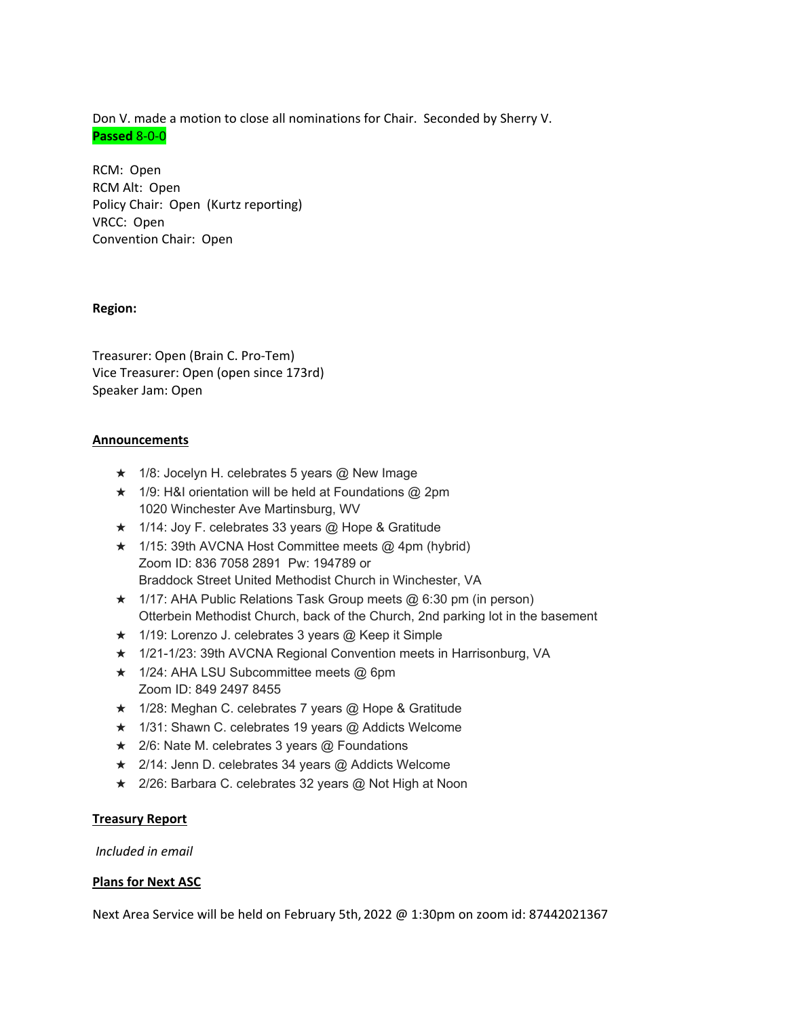Don V. made a motion to close all nominations for Chair. Seconded by Sherry V. **Passed** 8‐0‐0

RCM: Open RCM Alt: Open Policy Chair: Open (Kurtz reporting) VRCC: Open Convention Chair: Open

### **Region:**

Treasurer: Open (Brain C. Pro‐Tem) Vice Treasurer: Open (open since 173rd) Speaker Jam: Open

### **Announcements**

- $\star$  1/8: Jocelyn H. celebrates 5 years @ New Image
- $\star$  1/9: H&I orientation will be held at Foundations @ 2pm 1020 Winchester Ave Martinsburg, WV
- ★ 1/14: Joy F. celebrates 33 years @ Hope & Gratitude
- $\star$  1/15: 39th AVCNA Host Committee meets @ 4pm (hybrid) Zoom ID: 836 7058 2891 Pw: 194789 or Braddock Street United Methodist Church in Winchester, VA
- $\star$  1/17: AHA Public Relations Task Group meets @ 6:30 pm (in person) Otterbein Methodist Church, back of the Church, 2nd parking lot in the basement
- ★ 1/19: Lorenzo J. celebrates 3 years @ Keep it Simple
- ★ 1/21-1/23: 39th AVCNA Regional Convention meets in Harrisonburg, VA
- ★ 1/24: AHA LSU Subcommittee meets @ 6pm Zoom ID: 849 2497 8455
- ★ 1/28: Meghan C. celebrates 7 years @ Hope & Gratitude
- ★ 1/31: Shawn C. celebrates 19 years @ Addicts Welcome
- **★** 2/6: Nate M. celebrates 3 years @ Foundations
- ★ 2/14: Jenn D. celebrates 34 years @ Addicts Welcome
- ★ 2/26: Barbara C. celebrates 32 years @ Not High at Noon

## **Treasury Report**

*Included in email* 

#### **Plans for Next ASC**

Next Area Service will be held on February 5th, 2022 @ 1:30pm on zoom id: 87442021367